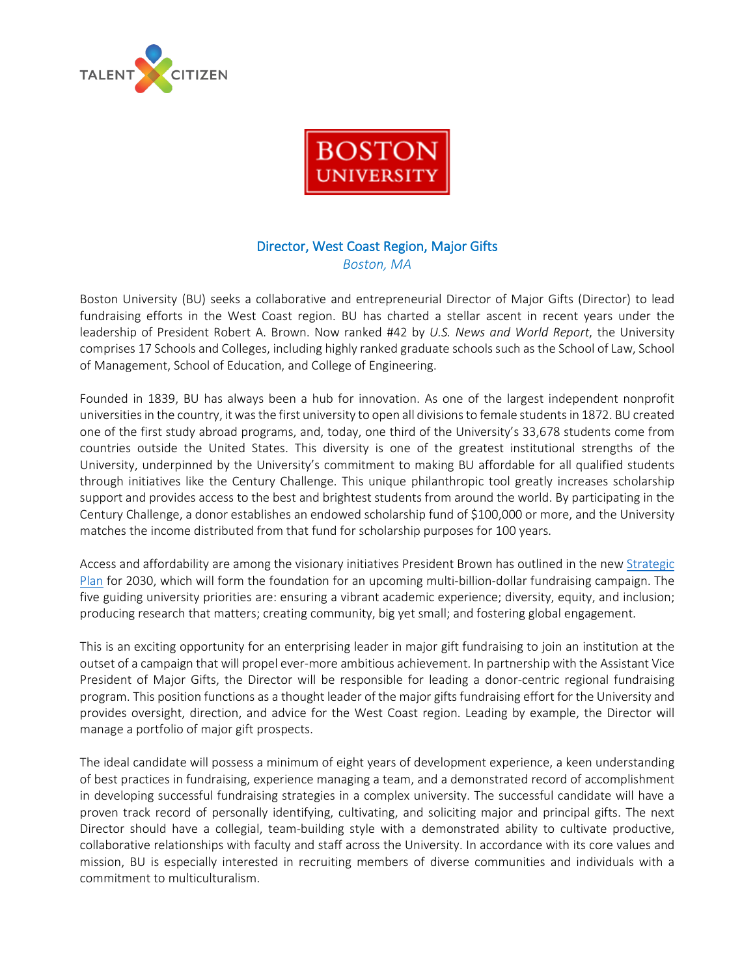



# Director, West Coast Region, Major Gifts *Boston, MA*

Boston University (BU) seeks a collaborative and entrepreneurial Director of Major Gifts (Director) to lead fundraising efforts in the West Coast region. BU has charted a stellar ascent in recent years under the leadership of President Robert A. Brown. Now ranked #42 by *U.S. News and World Report*, the University comprises 17 Schools and Colleges, including highly ranked graduate schools such as the School of Law, School of Management, School of Education, and College of Engineering.

Founded in 1839, BU has always been a hub for innovation. As one of the largest independent nonprofit universities in the country, it was the first university to open all divisions to female students in 1872. BU created one of the first study abroad programs, and, today, one third of the University's 33,678 students come from countries outside the United States. This diversity is one of the greatest institutional strengths of the University, underpinned by the University's commitment to making BU affordable for all qualified students through initiatives like the Century Challenge. This unique philanthropic tool greatly increases scholarship support and provides access to the best and brightest students from around the world. By participating in the Century Challenge, a donor establishes an endowed scholarship fund of \$100,000 or more, and the University matches the income distributed from that fund for scholarship purposes for 100 years.

Access and affordability are among the visionary initiatives President Brown has outlined in the new [Strategic](https://www.bu.edu/plan2020/)  [Plan](https://www.bu.edu/plan2020/) for 2030, which will form the foundation for an upcoming multi-billion-dollar fundraising campaign. The five guiding university priorities are: ensuring a vibrant academic experience; diversity, equity, and inclusion; producing research that matters; creating community, big yet small; and fostering global engagement.

This is an exciting opportunity for an enterprising leader in major gift fundraising to join an institution at the outset of a campaign that will propel ever-more ambitious achievement. In partnership with the Assistant Vice President of Major Gifts, the Director will be responsible for leading a donor-centric regional fundraising program. This position functions as a thought leader of the major gifts fundraising effort for the University and provides oversight, direction, and advice for the West Coast region. Leading by example, the Director will manage a portfolio of major gift prospects.

The ideal candidate will possess a minimum of eight years of development experience, a keen understanding of best practices in fundraising, experience managing a team, and a demonstrated record of accomplishment in developing successful fundraising strategies in a complex university. The successful candidate will have a proven track record of personally identifying, cultivating, and soliciting major and principal gifts. The next Director should have a collegial, team-building style with a demonstrated ability to cultivate productive, collaborative relationships with faculty and staff across the University. In accordance with its core values and mission, BU is especially interested in recruiting members of diverse communities and individuals with a commitment to multiculturalism.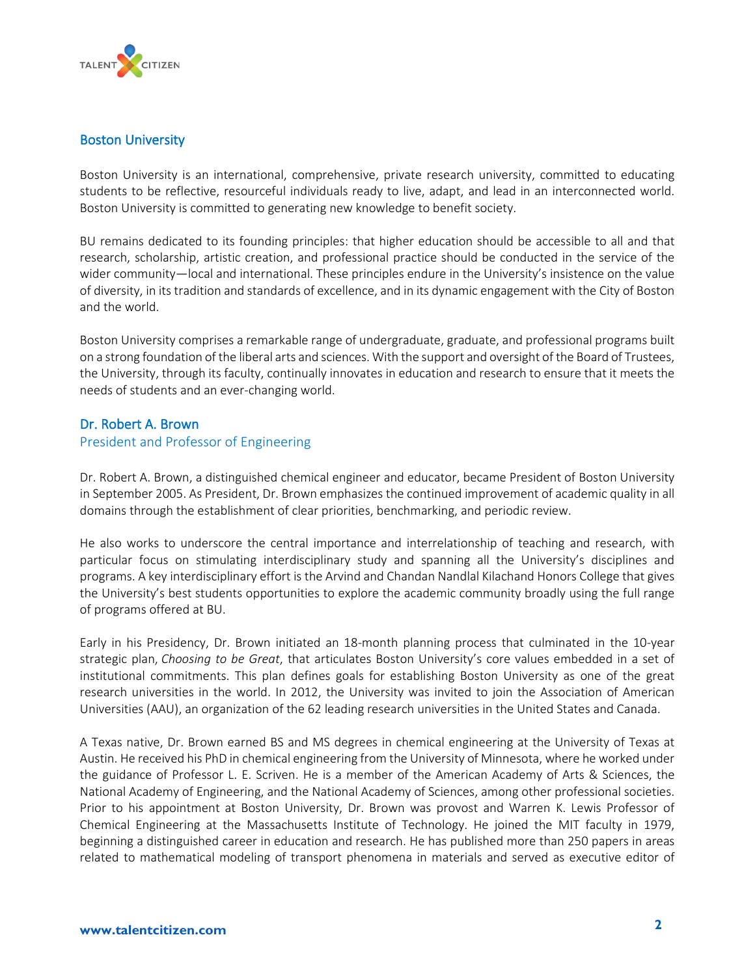

## Boston University

Boston University is an international, comprehensive, private research university, committed to educating students to be reflective, resourceful individuals ready to live, adapt, and lead in an interconnected world. Boston University is committed to generating new knowledge to benefit society.

BU remains dedicated to its founding principles: that higher education should be accessible to all and that research, scholarship, artistic creation, and professional practice should be conducted in the service of the wider community—local and international. These principles endure in the University's insistence on the value of diversity, in its tradition and standards of excellence, and in its dynamic engagement with the City of Boston and the world.

Boston University comprises a remarkable range of undergraduate, graduate, and professional programs built on a strong foundation of the liberal arts and sciences. With the support and oversight of the Board of Trustees, the University, through its faculty, continually innovates in education and research to ensure that it meets the needs of students and an ever-changing world.

## Dr. Robert A. Brown

### President and Professor of Engineering

Dr. Robert A. Brown, a distinguished chemical engineer and educator, became President of Boston University in September 2005. As President, Dr. Brown emphasizes the continued improvement of academic quality in all domains through the establishment of clear priorities, benchmarking, and periodic review.

He also works to underscore the central importance and interrelationship of teaching and research, with particular focus on stimulating interdisciplinary study and spanning all the University's disciplines and programs. A key interdisciplinary effort is the Arvind and Chandan Nandlal Kilachand Honors College that gives the University's best students opportunities to explore the academic community broadly using the full range of programs offered at BU.

Early in his Presidency, Dr. Brown initiated an 18-month planning process that culminated in the 10-year strategic plan, *Choosing to be Great*, that articulates Boston University's core values embedded in a set of institutional commitments. This plan defines goals for establishing Boston University as one of the great research universities in the world. In 2012, the University was invited to join the Association of American Universities (AAU), an organization of the 62 leading research universities in the United States and Canada.

A Texas native, Dr. Brown earned BS and MS degrees in chemical engineering at the University of Texas at Austin. He received his PhD in chemical engineering from the University of Minnesota, where he worked under the guidance of Professor L. E. Scriven. He is a member of the American Academy of Arts & Sciences, the National Academy of Engineering, and the National Academy of Sciences, among other professional societies. Prior to his appointment at Boston University, Dr. Brown was provost and Warren K. Lewis Professor of Chemical Engineering at the Massachusetts Institute of Technology. He joined the MIT faculty in 1979, beginning a distinguished career in education and research. He has published more than 250 papers in areas related to mathematical modeling of transport phenomena in materials and served as executive editor of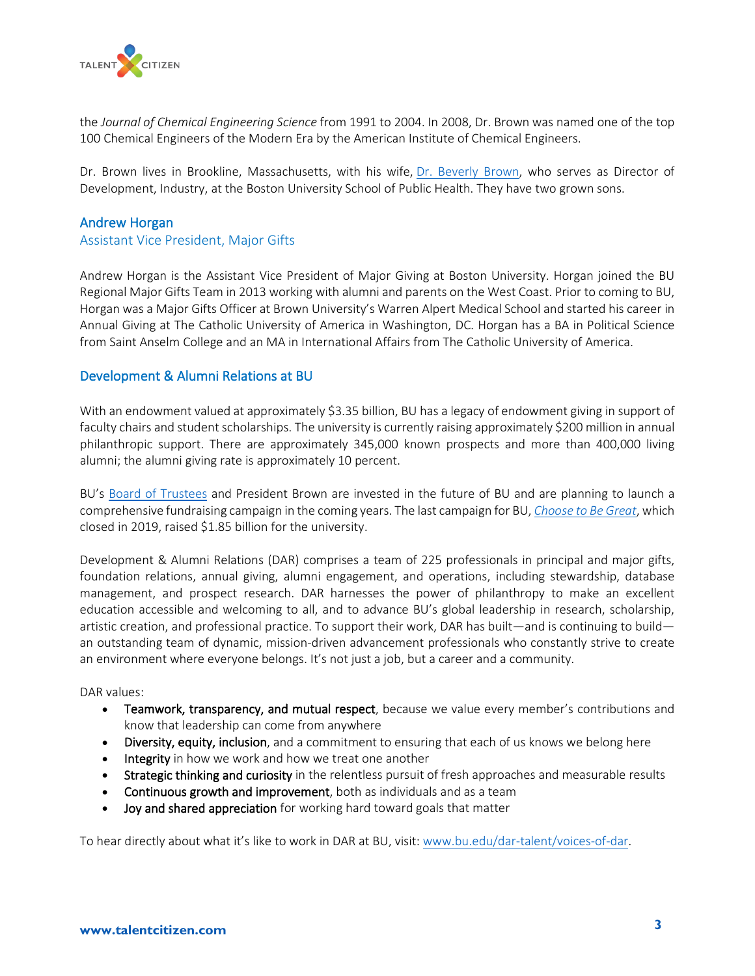

the *Journal of Chemical Engineering Science* from 1991 to 2004. In 2008, Dr. Brown was named one of the top 100 Chemical Engineers of the Modern Era by the American Institute of Chemical Engineers.

Dr. Brown lives in Brookline, Massachusetts, with his wife, [Dr. Beverly Brown,](http://www.bu.edu/president/profile/beverly-a-brown-phd/) who serves as Director of Development, Industry, at the Boston University School of Public Health. They have two grown sons.

### Andrew Horgan

### Assistant Vice President, Major Gifts

Andrew Horgan is the Assistant Vice President of Major Giving at Boston University. Horgan joined the BU Regional Major Gifts Team in 2013 working with alumni and parents on the West Coast. Prior to coming to BU, Horgan was a Major Gifts Officer at Brown University's Warren Alpert Medical School and started his career in Annual Giving at The Catholic University of America in Washington, DC. Horgan has a BA in Political Science from Saint Anselm College and an MA in International Affairs from The Catholic University of America.

## Development & Alumni Relations at BU

With an endowment valued at approximately \$3.35 billion, BU has a legacy of endowment giving in support of faculty chairs and student scholarships. The university is currently raising approximately \$200 million in annual philanthropic support. There are approximately 345,000 known prospects and more than 400,000 living alumni; the alumni giving rate is approximately 10 percent.

BU's [Board of Trustees](https://www.bu.edu/trustees/boardoftrustees/members/) and President Brown are invested in the future of BU and are planning to launch a comprehensive fundraising campaign in the coming years. The last campaign for BU, *[Choose to Be Great](https://www.bu.edu/alumni/2019/12/11/bu-campaign-impact/)*, which closed in 2019, raised \$1.85 billion for the university.

Development & Alumni Relations (DAR) comprises a team of 225 professionals in principal and major gifts, foundation relations, annual giving, alumni engagement, and operations, including stewardship, database management, and prospect research. DAR harnesses the power of philanthropy to make an excellent education accessible and welcoming to all, and to advance BU's global leadership in research, scholarship, artistic creation, and professional practice. To support their work, DAR has built—and is continuing to build an outstanding team of dynamic, mission-driven advancement professionals who constantly strive to create an environment where everyone belongs. It's not just a job, but a career and a community.

#### DAR values:

- Teamwork, transparency, and mutual respect, because we value every member's contributions and know that leadership can come from anywhere
- Diversity, equity, inclusion, and a commitment to ensuring that each of us knows we belong here
- Integrity in how we work and how we treat one another
- Strategic thinking and curiosity in the relentless pursuit of fresh approaches and measurable results
- Continuous growth and improvement, both as individuals and as a team
- Joy and shared appreciation for working hard toward goals that matter

To hear directly about what it's like to work in DAR at BU, visit: [www.bu.edu/dar-talent/voices-of-dar.](http://www.bu.edu/dar-talent/voices-of-dar)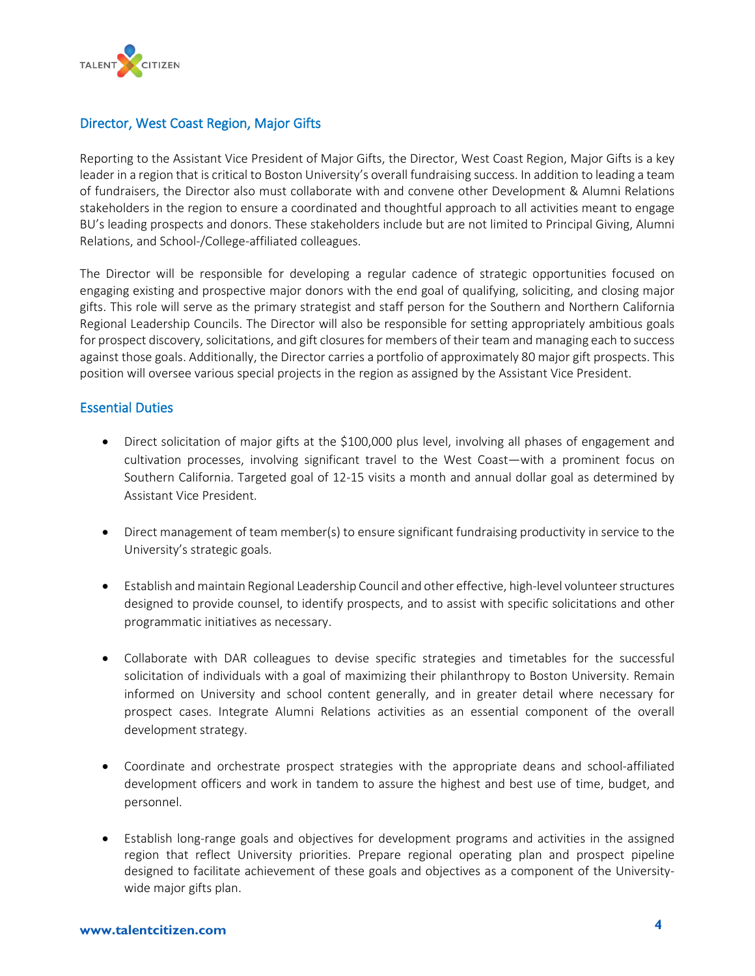

# Director, West Coast Region, Major Gifts

Reporting to the Assistant Vice President of Major Gifts, the Director, West Coast Region, Major Gifts is a key leader in a region that is critical to Boston University's overall fundraising success. In addition to leading a team of fundraisers, the Director also must collaborate with and convene other Development & Alumni Relations stakeholders in the region to ensure a coordinated and thoughtful approach to all activities meant to engage BU's leading prospects and donors. These stakeholders include but are not limited to Principal Giving, Alumni Relations, and School-/College-affiliated colleagues.

The Director will be responsible for developing a regular cadence of strategic opportunities focused on engaging existing and prospective major donors with the end goal of qualifying, soliciting, and closing major gifts. This role will serve as the primary strategist and staff person for the Southern and Northern California Regional Leadership Councils. The Director will also be responsible for setting appropriately ambitious goals for prospect discovery, solicitations, and gift closures for members of their team and managing each to success against those goals. Additionally, the Director carries a portfolio of approximately 80 major gift prospects. This position will oversee various special projects in the region as assigned by the Assistant Vice President.

## Essential Duties

- Direct solicitation of major gifts at the \$100,000 plus level, involving all phases of engagement and cultivation processes, involving significant travel to the West Coast—with a prominent focus on Southern California. Targeted goal of 12-15 visits a month and annual dollar goal as determined by Assistant Vice President.
- Direct management of team member(s) to ensure significant fundraising productivity in service to the University's strategic goals.
- Establish and maintain Regional Leadership Council and other effective, high-level volunteer structures designed to provide counsel, to identify prospects, and to assist with specific solicitations and other programmatic initiatives as necessary.
- Collaborate with DAR colleagues to devise specific strategies and timetables for the successful solicitation of individuals with a goal of maximizing their philanthropy to Boston University. Remain informed on University and school content generally, and in greater detail where necessary for prospect cases. Integrate Alumni Relations activities as an essential component of the overall development strategy.
- Coordinate and orchestrate prospect strategies with the appropriate deans and school-affiliated development officers and work in tandem to assure the highest and best use of time, budget, and personnel.
- Establish long-range goals and objectives for development programs and activities in the assigned region that reflect University priorities. Prepare regional operating plan and prospect pipeline designed to facilitate achievement of these goals and objectives as a component of the Universitywide major gifts plan.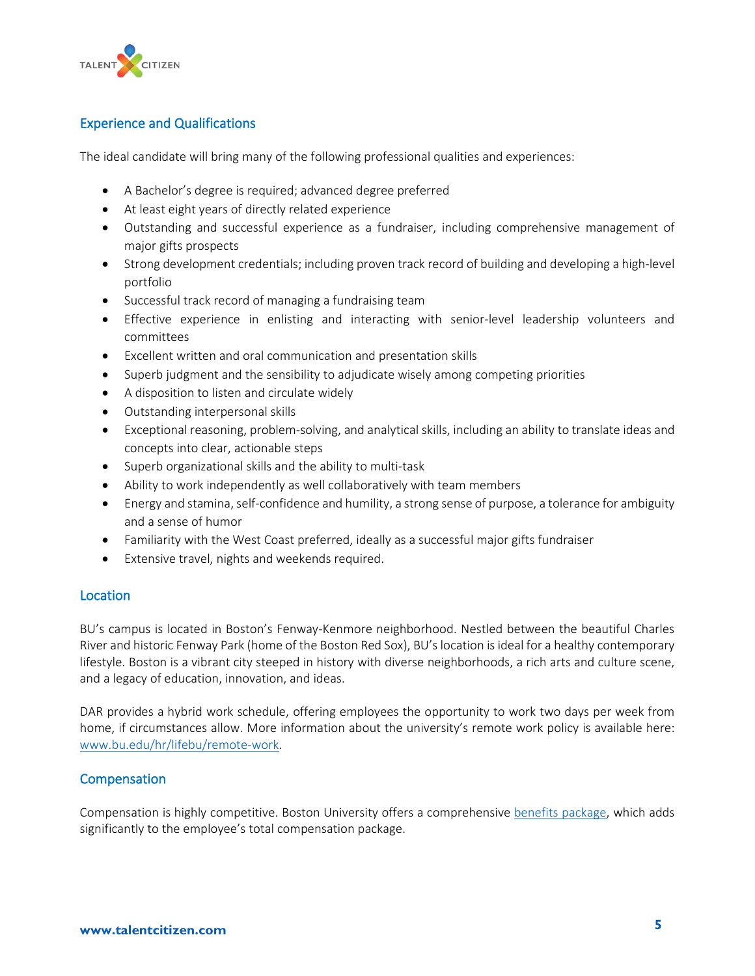

# Experience and Qualifications

The ideal candidate will bring many of the following professional qualities and experiences:

- A Bachelor's degree is required; advanced degree preferred
- At least eight years of directly related experience
- Outstanding and successful experience as a fundraiser, including comprehensive management of major gifts prospects
- Strong development credentials; including proven track record of building and developing a high-level portfolio
- Successful track record of managing a fundraising team
- Effective experience in enlisting and interacting with senior-level leadership volunteers and committees
- Excellent written and oral communication and presentation skills
- Superb judgment and the sensibility to adjudicate wisely among competing priorities
- A disposition to listen and circulate widely
- Outstanding interpersonal skills
- Exceptional reasoning, problem-solving, and analytical skills, including an ability to translate ideas and concepts into clear, actionable steps
- Superb organizational skills and the ability to multi-task
- Ability to work independently as well collaboratively with team members
- Energy and stamina, self-confidence and humility, a strong sense of purpose, a tolerance for ambiguity and a sense of humor
- Familiarity with the West Coast preferred, ideally as a successful major gifts fundraiser
- Extensive travel, nights and weekends required.

## Location

BU's campus is located in Boston's Fenway-Kenmore neighborhood. Nestled between the beautiful Charles River and historic Fenway Park (home of the Boston Red Sox), BU's location is ideal for a healthy contemporary lifestyle. Boston is a vibrant city steeped in history with diverse neighborhoods, a rich arts and culture scene, and a legacy of education, innovation, and ideas.

DAR provides a hybrid work schedule, offering employees the opportunity to work two days per week from home, if circumstances allow. More information about the university's remote work policy is available here: [www.bu.edu/hr/lifebu/remote-work.](http://www.bu.edu/hr/lifebu/remote-work)

### Compensation

Compensation is highly competitive. Boston University offers a comprehensive benefits [package,](https://www.bu.edu/hr/employee-resources/benefits/) which adds significantly to the employee's total compensation package.